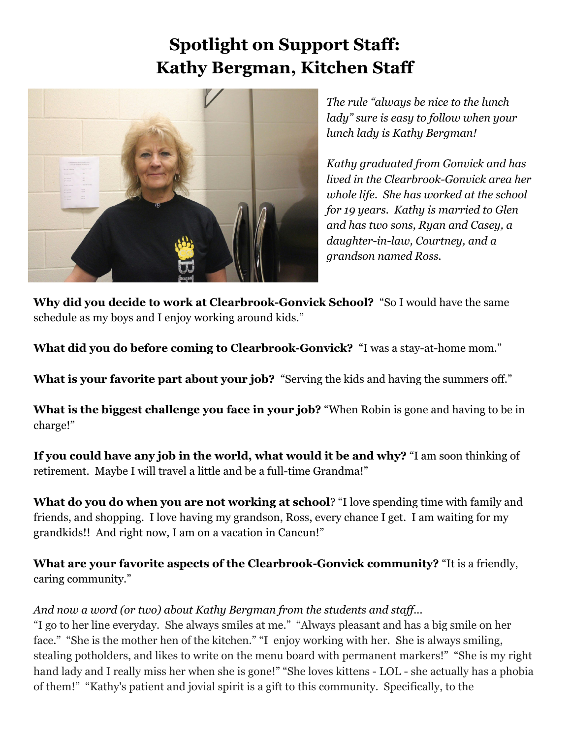## **Spotlight on Support Staff: Kathy Bergman, Kitchen Staff**



*The rule "always be nice to the lunch lady" sure is easy to follow when your lunch lady is Kathy Bergman!*

*Kathy graduated from Gonvick and has lived in the Clearbrook-Gonvick area her whole life. She has worked at the school for 19 years. Kathy is married to Glen and has two sons, Ryan and Casey, a daughter-in-law, Courtney, and a grandson named Ross.*

**Why did you decide to work at Clearbrook-Gonvick School?** "So I would have the same schedule as my boys and I enjoy working around kids."

**What did you do before coming to Clearbrook-Gonvick?** "I was a stay-at-home mom."

**What is your favorite part about your job?** "Serving the kids and having the summers off."

**What is the biggest challenge you face in your job?** "When Robin is gone and having to be in charge!"

**If you could have any job in the world, what would it be and why?** "I am soon thinking of retirement. Maybe I will travel a little and be a full-time Grandma!"

**What do you do when you are not working at school**? "I love spending time with family and friends, and shopping. I love having my grandson, Ross, every chance I get. I am waiting for my grandkids!! And right now, I am on a vacation in Cancun!"

**What are your favorite aspects of the Clearbrook-Gonvick community?** "It is a friendly, caring community."

## *And now a word (or two) about Kathy Bergman from the students and staf ...*

"I go to her line everyday. She always smiles at me." "Always pleasant and has a big smile on her face." "She is the mother hen of the kitchen." "I enjoy working with her. She is always smiling, stealing potholders, and likes to write on the menu board with permanent markers!" "She is my right hand lady and I really miss her when she is gone!" "She loves kittens - LOL - she actually has a phobia of them!" "Kathy's patient and jovial spirit is a gift to this community. Specifically, to the